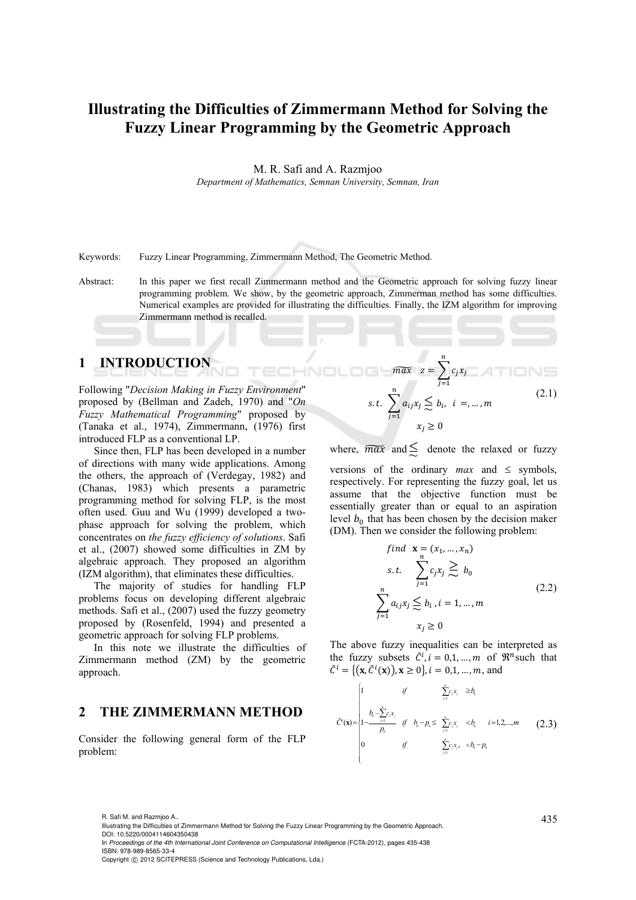# **Illustrating the Difficulties of Zimmermann Method for Solving the Fuzzy Linear Programming by the Geometric Approach**

M. R. Safi and A. Razmjoo

*Department of Mathematics, Semnan University, Semnan, Iran* 

Keywords: Fuzzy Linear Programming, Zimmermann Method, The Geometric Method.

Abstract: In this paper we first recall Zimmermann method and the Geometric approach for solving fuzzy linear programming problem. We show, by the geometric approach, Zimmerman method has some difficulties. Numerical examples are provided for illustrating the difficulties. Finally, the IZM algorithm for improving Zimmermann method is recalled.

### **1 INTRODUCTION**

Following "*Decision Making in Fuzzy Environment*" proposed by (Bellman and Zadeh, 1970) and "*On Fuzzy Mathematical Programming*" proposed by (Tanaka et al., 1974), Zimmermann, (1976) first introduced FLP as a conventional LP.

Since then, FLP has been developed in a number of directions with many wide applications. Among the others, the approach of (Verdegay, 1982) and (Chanas, 1983) which presents a parametric programming method for solving FLP, is the most often used. Guu and Wu (1999) developed a twophase approach for solving the problem, which concentrates on *the fuzzy efficiency of solutions*. Safi et al., (2007) showed some difficulties in ZM by algebraic approach. They proposed an algorithm (IZM algorithm), that eliminates these difficulties.

The majority of studies for handling FLP problems focus on developing different algebraic methods. Safi et al., (2007) used the fuzzy geometry proposed by (Rosenfeld, 1994) and presented a geometric approach for solving FLP problems.

In this note we illustrate the difficulties of Zimmermann method (ZM) by the geometric approach.

# **2 THE ZIMMERMANN METHOD**

Consider the following general form of the FLP problem:

$$
\widehat{max} \quad z = \sum_{j=1}^{n} c_j x_j
$$
\n
$$
s.t. \quad \sum_{j=1}^{n} a_{ij} x_j \leq b_i, \quad i =, ..., m
$$
\n
$$
x_j \geq 0
$$
\n(2.1)

 $\boldsymbol{n}$ 

where,  $\overline{max}$  and  $\leq$  denote the relaxed or fuzzy versions of the ordinary *max* and  $\le$  symbols, respectively. For representing the fuzzy goal, let us assume that the objective function must be essentially greater than or equal to an aspiration level  $b_0$  that has been chosen by the decision maker (DM). Then we consider the following problem:

find 
$$
\mathbf{x} = (x_1, ..., x_n)
$$
  
\ns.t. 
$$
\sum_{j=1}^{n} c_j x_j \geq b_0
$$
\n
$$
\sum_{j=1}^{n} a_{ij} x_j \leq b_i, i = 1, ..., m
$$
\n
$$
x_j \geq 0
$$
\n(2.2)

The above fuzzy inequalities can be interpreted as the fuzzy subsets  $\tilde{C}^i$ ,  $i = 0, 1, ..., m$  of  $\mathbb{R}^n$  such that  $\tilde{C}^i = \{ (\mathbf{x}, \tilde{C}^i(\mathbf{x})), \mathbf{x} \ge 0 \}, i = 0, 1, ..., m, \text{ and }$ 

$$
\tilde{C}(\mathbf{x}) = \begin{cases}\n1 & \text{if } & \sum_{j=1}^{n} c_j x_j \geq b_0 \\
1 - \frac{b_0 - \sum_{j=1}^{n} c_j x_j}{p_0} & \text{if } b_0 - p_0 \leq \sum_{j=1}^{n} c_j x_j < b_0 \quad i = 1, 2, \dots, m \\
0 & \text{if } & \sum_{j=1}^{n} c_j x_j, \quad < b_0 - p_0\n\end{cases} \tag{2.3}
$$

<sup>435</sup> R. Safi M. and Razmjoo A.. Illustrating the Difficulties of Zimmermann Method for Solving the Fuzzy Linear Programming by the Geometric Approach. DOI: 10.5220/0004114604350438

In *Proceedings of the 4th International Joint Conference on Computational Intelligence* (FCTA-2012), pages 435-438 ISBN: 978-989-8565-33-4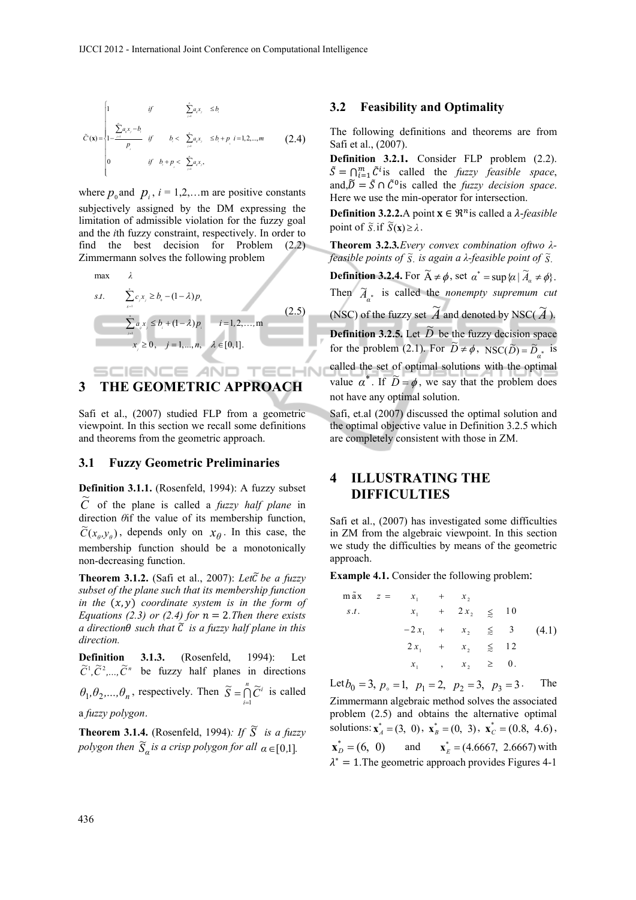$$
\tilde{C}(\mathbf{x}) = \begin{cases}\n1 & \text{if } & \sum_{j=1}^{n} a_j x_j \leq b_i \\
1 - \frac{\sum_{j=1}^{n} a_j x_j - b_j}{p_i} & \text{if } & b_i < \sum_{j=1}^{n} a_j x_j \leq b_i + p_i \ i = 1, 2, ..., m \\
0 & \text{if } b_i + p_i < \sum_{j=1}^{n} a_j x_j,\n\end{cases} (2.4)
$$

where  $p_0$  and  $p_i$ ,  $i = 1, 2, \dots$  m are positive constants subjectively assigned by the DM expressing the limitation of admissible violation for the fuzzy goal and the *i*th fuzzy constraint, respectively. In order to find the best decision for Problem (2.2) Zimmermann solves the following problem

max 
$$
\lambda
$$
  
\ns.t.  $\sum_{s=1}^{n} c_s x_j \ge b_s - (1 - \lambda)p_s$   
\n $\sum_{j=1}^{n} a_j x_j \le b_j + (1 - \lambda)p_j$   $i = 1, 2, ..., m$   
\n $x_j \ge 0, j = 1, ..., n, \lambda \in [0, 1].$  (2.5)

### IENCE *A*ND T **3 THE GEOMETRIC APPROACH**

Safi et al., (2007) studied FLP from a geometric viewpoint. In this section we recall some definitions and theorems from the geometric approach.

#### **3.1 Fuzzy Geometric Preliminaries**

**Definition 3.1.1.** (Rosenfeld, 1994): A fuzzy subset  $\tilde{C}$  of the plane is called a *fuzzy half plane* in direction *θ*if the value of its membership function,  $\tilde{C}(x_{\theta}, y_{\theta})$ , depends only on  $x_{\theta}$ . In this case, the membership function should be a monotonically non-decreasing function.

**Theorem 3.1.2.** (Safi et al., 2007): *Let* $\tilde{C}$  *be a fuzzy subset of the plane such that its membership function*   $in$  the  $(x, y)$  coordinate system is in the form of *Equations (2.3) or (2.4) for*  $n = 2$ . *Then there exists*  $\alpha$  direction $\theta$  such that  $\tilde{C}$  is a fuzzy half plane in this *direction.*

**Definition 3.1.3.** (Rosenfeld, 1994): Let  $\tilde{C}^1$ ,  $\tilde{C}^2$ ,  $\ldots$ ,  $\tilde{C}^n$  be fuzzy half planes in directions  $\theta_1, \theta_2, ..., \theta_n$ , respectively. Then  $\tilde{S} = \bigcap_{i=1}^n \tilde{C}^i$  is called a *fuzzy polygon*.

**Theorem 3.1.4.** (Rosenfeld, 1994): If  $\widetilde{S}$  is a fuzzy *polygon then*  $\widetilde{S}_\alpha$  *is a crisp polygon for all*  $\alpha \in [0,1]$ *.* 

#### **3.2 Feasibility and Optimality**

The following definitions and theorems are from Safi et al., (2007).

**Definition 3.2.1.** Consider FLP problem (2.2).  $\tilde{S} = \bigcap_{i=1}^{m} \tilde{C}^i$  is called the *fuzzy feasible space*, and, $\tilde{D} = \tilde{S} \cap \tilde{C}^0$  is called the *fuzzy decision space*. Here we use the min-operator for intersection.

**Definition 3.2.2.**A point  $\mathbf{x} \in \mathbb{R}^n$  is called a  $\lambda$ -*feasible* point of  $\tilde{S}$  if  $\tilde{S}(\mathbf{x}) \geq \lambda$ .

**Theorem 3.2.3***.Every convex combination oftwo λfeasible points of*  $\tilde{s}$ , *is again a λ-feasible point of*  $\tilde{s}$ .

**Definition 3.2.4.** For  $\widetilde{A} \neq \phi$ , set  $\alpha^* = \sup \{ \alpha \mid \widetilde{A}_\alpha \neq \phi \}.$ Then  $\widetilde{A}_{\alpha^*}$  is called the *nonempty supremum cut* (NSC) of the fuzzy set  $\widetilde{A}$  and denoted by NSC( $\widetilde{A}$ ). **Definition 3.2.5.** Let  $\widetilde{D}$  be the fuzzy decision space for the problem (2.1). For  $\widetilde{D} \neq \phi$ ,  $NSC(\widetilde{D}) = \widetilde{D}_{\alpha^*}$  is called the set of optimal solutions with the optimal value  $\alpha^*$ . If  $\widetilde{D} = \phi$ , we say that the problem does not have any optimal solution.

Safi, et.al (2007) discussed the optimal solution and the optimal objective value in Definition 3.2.5 which are completely consistent with those in ZM.

# **4 ILLUSTRATING THE DIFFICULTIES**

Safi et al., (2007) has investigated some difficulties in ZM from the algebraic viewpoint. In this section we study the difficulties by means of the geometric approach.

**Example 4.1.** Consider the following problem:

| m ã x | $z =$ | $x_{1}$ | $^{+}$ | $x_{\gamma}$           |           |       |
|-------|-------|---------|--------|------------------------|-----------|-------|
| S.t.  |       | $x_1$   |        | $+ 2 x_2$              | $\leq 10$ |       |
|       |       |         |        | $-2x_1 + x_2 \leq 3$   |           | (4.1) |
|       |       | $2 x_1$ |        | $+ x_2 \leq 12$        |           |       |
|       |       |         |        | $x_1$ , $x_2 \geq 0$ . |           |       |

Let  $b_0 = 3$ ,  $p_0 = 1$ ,  $p_1 = 2$ ,  $p_2 = 3$ ,  $p_3 = 3$ . The Zimmermann algebraic method solves the associated problem (2.5) and obtains the alternative optimal solutions:  $\mathbf{x}_A^* = (3, 0), \mathbf{x}_B^* = (0, 3), \mathbf{x}_C^* = (0.8, 4.6)$ ,  $\mathbf{x}_D^* = (6, 0)$  and  $\mathbf{x}_F^* = (4.6667, 2.6667)$  with  $\lambda^* = 1$ . The geometric approach provides Figures 4-1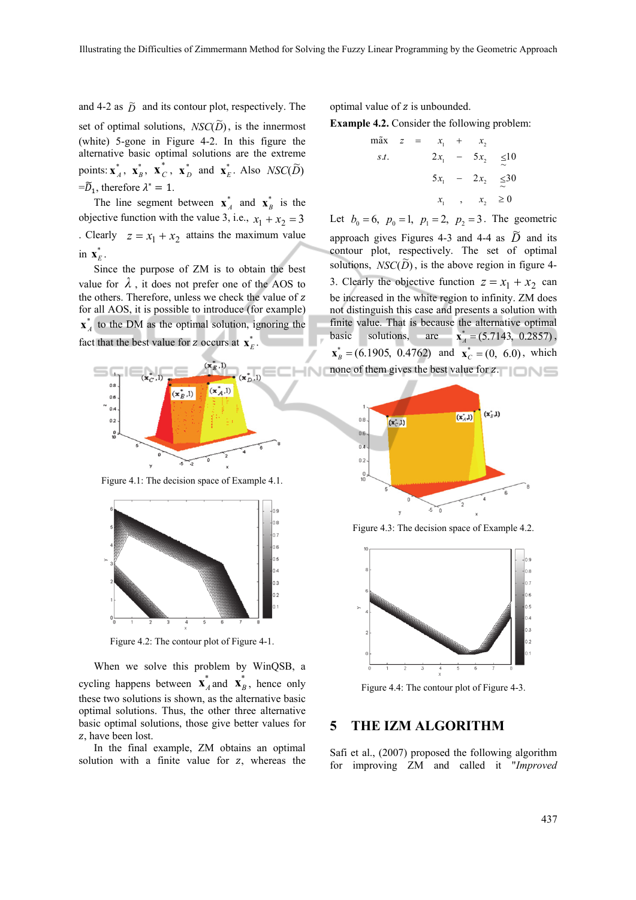and 4-2 as  $\tilde{D}$  and its contour plot, respectively. The set of optimal solutions,  $NSC(\widetilde{D})$ , is the innermost (white) 5-gone in Figure 4-2. In this figure the alternative basic optimal solutions are the extreme points:  $\mathbf{x}_A^*$ ,  $\mathbf{x}_B^*$ ,  $\mathbf{x}_C^*$ ,  $\mathbf{x}_D^*$  and  $\mathbf{x}_E^*$ . Also  $NSC(\widetilde{D})$  $=\widetilde{D}_1$ , therefore  $\lambda^* = 1$ .

The line segment between  $\mathbf{x}_A^*$  and  $\mathbf{x}_B^*$  is the objective function with the value 3, i.e.,  $x_1 + x_2 = 3$ . Clearly  $z = x_1 + x_2$  attains the maximum value in  $\mathbf{x}_E^*$ .

Since the purpose of ZM is to obtain the best value for  $\lambda$ , it does not prefer one of the AOS to the others. Therefore, unless we check the value of z for all AOS, it is possible to introduce (for example)  $\mathbf{x}_{A}^{*}$  to the DM as the optimal solution, ignoring the fact that the best value for z occurs at  $\mathbf{x}_F^*$ .



Figure 4.1: The decision space of Example 4.1.



Figure 4.2: The contour plot of Figure 4-1.

When we solve this problem by WinQSB, a cycling happens between  $\mathbf{x}_{A}^{*}$  and  $\mathbf{x}_{B}^{*}$ , hence only these two solutions is shown, as the alternative basic optimal solutions. Thus, the other three alternative basic optimal solutions, those give better values for z, have been lost.

In the final example, ZM obtains an optimal solution with a finite value for  $z$ , whereas the optimal value of  $z$  is unbounded.

**Example 4.2.** Consider the following problem:

$$
\begin{array}{rcl}\n\max \quad z & = & x_1 + x_2 \\
s.t. & & 2x_1 - 5x_2 & \leq 10 \\
 & & 5x_1 - 2x_2 & \leq 30 \\
 & & x_1, x_2 & \geq 0\n\end{array}
$$

Let  $b_0 = 6$ ,  $p_0 = 1$ ,  $p_1 = 2$ ,  $p_2 = 3$ . The geometric approach gives Figures 4-3 and 4-4 as  $\tilde{D}$  and its contour plot, respectively. The set of optimal solutions,  $NSC(\overline{D})$ , is the above region in figure 4-3. Clearly the objective function  $z = x_1 + x_2$  can be increased in the white region to infinity. ZM does not distinguish this case and presents a solution with finite value. That is because the alternative optimal basic solutions, are  $\mathbf{x}_{A}^{*} = (5.7143, 0.2857)$ ,

 $\mathbf{x}_{B}^{*} = (6.1905, 0.4762)$  and  $\mathbf{x}_{C}^{*} = (0, 6.0)$ , which none of them gives the best value for  $z$ .



Figure 4.3: The decision space of Example 4.2.



Figure 4.4: The contour plot of Figure 4-3.

## **5 THE IZM ALGORITHM**

Safi et al., (2007) proposed the following algorithm for improving ZM and called it "*Improved*